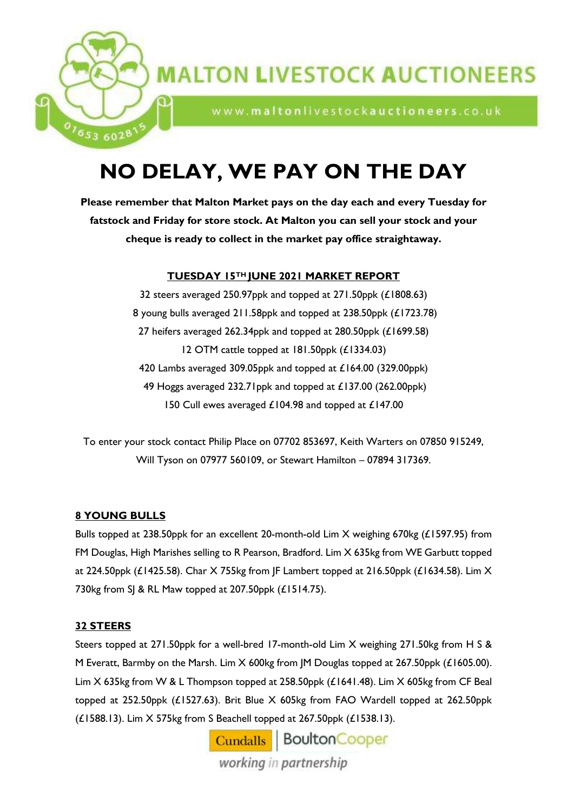

# **MALTON LIVESTOCK AUCTIONEERS**

www.maltonlivestockauctioneers.co.uk

# **NO DELAY, WE PAY ON THE DAY**

**Please remember that Malton Market pays on the day each and every Tuesday for fatstock and Friday for store stock. At Malton you can sell your stock and your cheque is ready to collect in the market pay office straightaway.**

# **TUESDAY 15TH JUNE 2021 MARKET REPORT**

 steers averaged 250.97ppk and topped at 271.50ppk (£1808.63) young bulls averaged 211.58ppk and topped at 238.50ppk (£1723.78) heifers averaged 262.34ppk and topped at 280.50ppk (£1699.58) OTM cattle topped at 181.50ppk (£1334.03) 420 Lambs averaged 309.05ppk and topped at £164.00 (329.00ppk) 49 Hoggs averaged 232.71ppk and topped at £137.00 (262.00ppk) Cull ewes averaged £104.98 and topped at £147.00

To enter your stock contact Philip Place on 07702 853697, Keith Warters on 07850 915249, Will Tyson on 07977 560109, or Stewart Hamilton – 07894 317369.

# **8 YOUNG BULLS**

Bulls topped at 238.50ppk for an excellent 20-month-old Lim X weighing 670kg (£1597.95) from FM Douglas, High Marishes selling to R Pearson, Bradford. Lim X 635kg from WE Garbutt topped at 224.50ppk (£1425.58). Char X 755kg from JF Lambert topped at 216.50ppk (£1634.58). Lim X 730kg from SJ & RL Maw topped at 207.50ppk (£1514.75).

# **32 STEERS**

Steers topped at 271.50ppk for a well-bred 17-month-old Lim X weighing 271.50kg from H S & M Everatt, Barmby on the Marsh. Lim X 600kg from JM Douglas topped at 267.50ppk (£1605.00). Lim X 635kg from W & L Thompson topped at 258.50ppk (£1641.48). Lim X 605kg from CF Beal topped at 252.50ppk (£1527.63). Brit Blue X 605kg from FAO Wardell topped at 262.50ppk (£1588.13). Lim X 575kg from S Beachell topped at 267.50ppk (£1538.13).

> Cundalls | BoultonCooper working in partnership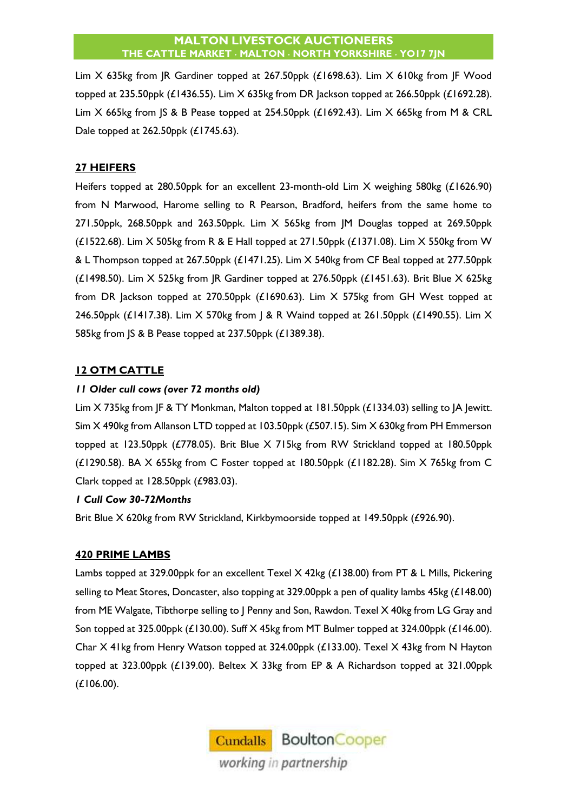#### **MALTON LIVESTOCK AUCTIONEERS THE CATTLE MARKET MALTON NORTH YORKSHIRE YO17 7JN**

Lim X 635kg from JR Gardiner topped at 267.50ppk (£1698.63). Lim X 610kg from JF Wood topped at 235.50ppk (£1436.55). Lim X 635kg from DR Jackson topped at 266.50ppk (£1692.28). Lim  $X$  665kg from SS & B Pease topped at 254.50ppk (£1692.43). Lim  $X$  665kg from M & CRL Dale topped at 262.50ppk (£1745.63).

# **27 HEIFERS**

Heifers topped at 280.50ppk for an excellent 23-month-old Lim X weighing 580kg (£1626.90) from N Marwood, Harome selling to R Pearson, Bradford, heifers from the same home to 271.50ppk, 268.50ppk and 263.50ppk. Lim X 565kg from JM Douglas topped at 269.50ppk  $(£1522.68)$ . Lim  $X$  505kg from R & E Hall topped at 271.50ppk  $(£1371.08)$ . Lim  $X$  550kg from W & L Thompson topped at 267.50ppk (£1471.25). Lim X 540kg from CF Beal topped at 277.50ppk (£1498.50). Lim X 525kg from JR Gardiner topped at 276.50ppk (£1451.63). Brit Blue X 625kg from DR Jackson topped at 270.50ppk (£1690.63). Lim X 575kg from GH West topped at 246.50ppk (£1417.38). Lim X 570kg from | & R Waind topped at 261.50ppk (£1490.55). Lim X 585kg from JS & B Pease topped at 237.50ppk (£1389.38).

# **12 OTM CATTLE**

# *11 Older cull cows (over 72 months old)*

Lim X 735kg from JF & TY Monkman, Malton topped at 181.50ppk (£1334.03) selling to JA Jewitt. Sim X 490kg from Allanson LTD topped at 103.50ppk (£507.15). Sim X 630kg from PH Emmerson topped at 123.50ppk (£778.05). Brit Blue X 715kg from RW Strickland topped at 180.50ppk (£1290.58). BA X 655kg from C Foster topped at 180.50ppk (£1182.28). Sim X 765kg from C Clark topped at 128.50ppk (£983.03).

# *1 Cull Cow 30-72Months*

Brit Blue X 620kg from RW Strickland, Kirkbymoorside topped at 149.50ppk (£926.90).

# **420 PRIME LAMBS**

Lambs topped at 329.00ppk for an excellent Texel X 42kg (£138.00) from PT & L Mills, Pickering selling to Meat Stores, Doncaster, also topping at 329.00ppk a pen of quality lambs 45kg (£148.00) from ME Walgate, Tibthorpe selling to J Penny and Son, Rawdon. Texel X 40kg from LG Gray and Son topped at 325.00ppk (£130.00). Suff X 45kg from MT Bulmer topped at 324.00ppk (£146.00). Char X 41kg from Henry Watson topped at 324.00ppk (£133.00). Texel X 43kg from N Hayton topped at 323.00ppk (£139.00). Beltex X 33kg from EP & A Richardson topped at 321.00ppk (£106.00).

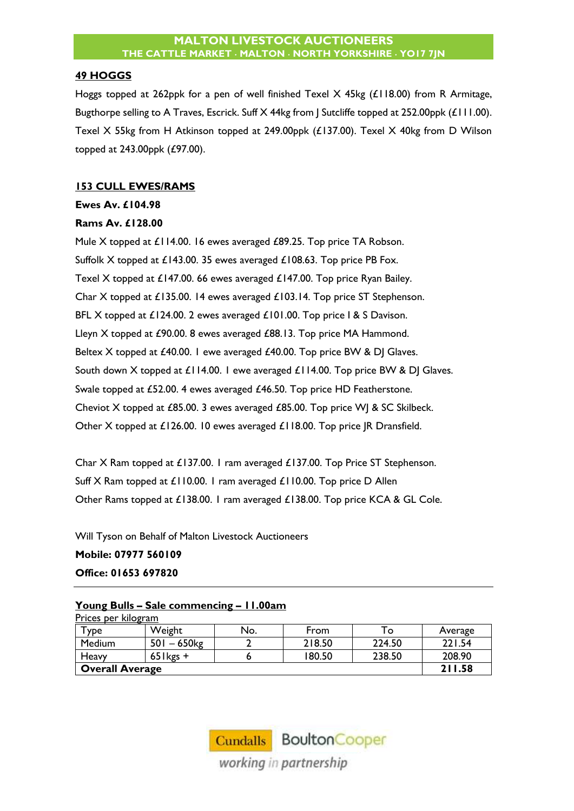#### **49 HOGGS**

Hoggs topped at 262ppk for a pen of well finished Texel X 45kg (£118.00) from R Armitage, Bugthorpe selling to A Traves, Escrick. Suff X 44kg from J Sutcliffe topped at 252.00ppk (£111.00). Texel X 55kg from H Atkinson topped at 249.00ppk (£137.00). Texel X 40kg from D Wilson topped at 243.00ppk (£97.00).

### **153 CULL EWES/RAMS**

## **Ewes Av. £104.98**

### **Rams Av. £128.00**

Mule X topped at £114.00. 16 ewes averaged £89.25. Top price TA Robson. Suffolk X topped at £143.00. 35 ewes averaged £108.63. Top price PB Fox. Texel X topped at £147.00. 66 ewes averaged £147.00. Top price Ryan Bailey. Char X topped at £135.00. 14 ewes averaged £103.14. Top price ST Stephenson. BFL X topped at £124.00. 2 ewes averaged £101.00. Top price I & S Davison. Lleyn X topped at £90.00. 8 ewes averaged £88.13. Top price MA Hammond. Beltex X topped at £40.00. I ewe averaged £40.00. Top price BW & DJ Glaves. South down X topped at £114.00. I ewe averaged £114.00. Top price BW & DJ Glaves. Swale topped at £52.00. 4 ewes averaged £46.50. Top price HD Featherstone. Cheviot X topped at £85.00. 3 ewes averaged £85.00. Top price WJ & SC Skilbeck. Other X topped at £126.00. 10 ewes averaged £118.00. Top price JR Dransfield.

Char X Ram topped at £137.00. 1 ram averaged £137.00. Top Price ST Stephenson. Suff X Ram topped at £110.00. 1 ram averaged £110.00. Top price D Allen Other Rams topped at £138.00. 1 ram averaged £138.00. Top price KCA & GL Cole.

Will Tyson on Behalf of Malton Livestock Auctioneers **Mobile: 07977 560109 Office: 01653 697820**

#### **Young Bulls – Sale commencing – 11.00am**  Prices per kilogram

| <b>YDe</b>             | Weight       | No. | From   | O      | Average |
|------------------------|--------------|-----|--------|--------|---------|
| Medium                 | $501 - 650$  |     | 218.50 | 224.50 | 221.54  |
| Heavy                  | $65$ l kgs + |     | 180.50 | 238.50 | 208.90  |
| <b>Overall Average</b> | 211.58       |     |        |        |         |

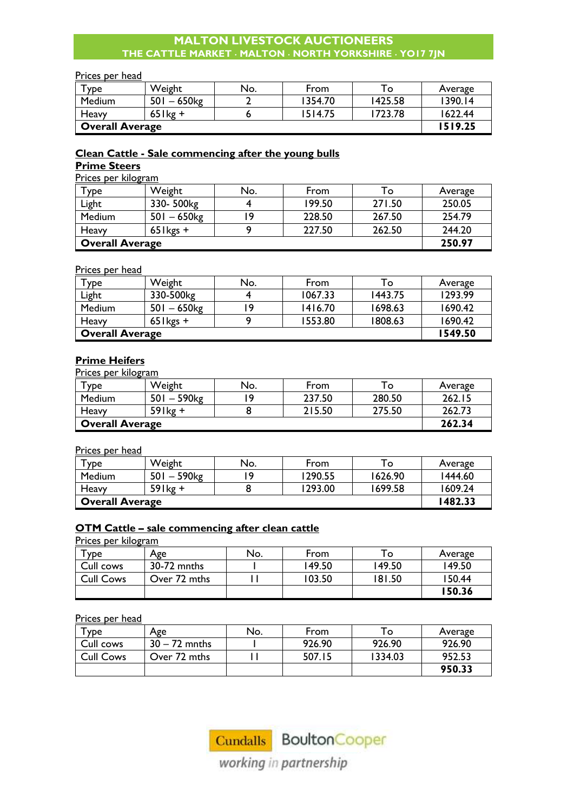# **MALTON LIVESTOCK AUCTIONEERS THE CATTLE MARKET MALTON NORTH YORKSHIRE YO17 7JN**

#### Prices per head

| <b>y</b> De            | Weight                    | No. | From    | ⊤о      | Average |
|------------------------|---------------------------|-----|---------|---------|---------|
| <b>Medium</b>          | $501 - 650$ <sub>kg</sub> |     | 1354.70 | 1425.58 | 1390.14 |
| Heavy                  | $65$ lkg +                |     | 1514.75 | 1723.78 | 1622.44 |
| <b>Overall Average</b> | 1519.25                   |     |         |         |         |

# **Clean Cattle - Sale commencing after the young bulls**

#### **Prime Steers** Prices per kilogram

| <u>Prices per kilogram</u> |              |     |        |        |         |
|----------------------------|--------------|-----|--------|--------|---------|
| Type                       | Weight       | No. | From   | To:    | Average |
| Light                      | 330-500kg    |     | 199.50 | 271.50 | 250.05  |
| Medium                     | $501 - 650$  | ۱9  | 228.50 | 267.50 | 254.79  |
| Heavy                      | $65$ l kgs + |     | 227.50 | 262.50 | 244.20  |
| <b>Overall Average</b>     | 250.97       |     |        |        |         |

#### Prices per head

| Type                   | Weight         | No. | From    | To      | Average |
|------------------------|----------------|-----|---------|---------|---------|
| Light                  | 330-500kg      |     | 1067.33 | 1443.75 | 1293.99 |
| Medium                 | $501 - 650$ kg |     | 1416.70 | 1698.63 | 1690.42 |
| Heavy                  | $65$ l kgs +   |     | 1553.80 | 1808.63 | 1690.42 |
| <b>Overall Average</b> | 1549.50        |     |         |         |         |

#### **Prime Heifers**

Prices per kilogram

| $T$ ype                | Weight                    | No. | From   | $\circ$ | Average |
|------------------------|---------------------------|-----|--------|---------|---------|
| Medium                 | $501 - 590$ <sub>kg</sub> |     | 237.50 | 280.50  | 262.15  |
| Heavy                  | $59$ lkg +                |     | 215.50 | 275.50  | 262.73  |
| <b>Overall Average</b> | 262.34                    |     |        |         |         |

#### Prices per head

| <b>y</b> De | Weight                    | No. | From    | то      | Average |  |  |
|-------------|---------------------------|-----|---------|---------|---------|--|--|
| Medium      | $501 - 590$ <sub>kg</sub> |     | 1290.55 | 1626.90 | 1444.60 |  |  |
| Heavy       | $59$ lkg +                |     | 1293.00 | 1699.58 | 1609.24 |  |  |
|             | <b>Overall Average</b>    |     |         |         |         |  |  |

# **OTM Cattle – sale commencing after clean cattle**

Prices per kilogram

| $T$ ype          | Age          | No. | From   | To     | Average |
|------------------|--------------|-----|--------|--------|---------|
| Cull cows        | 30-72 mnths  |     | 149.50 | 149.50 | 149.50  |
| <b>Cull Cows</b> | Over 72 mths |     | 103.50 | 181.50 | 150.44  |
|                  |              |     |        |        | 150.36  |

## Prices per head

| $\tau_{\texttt{VDe}}$ | Age             | No. | From   | ™ο⊺     | Average |
|-----------------------|-----------------|-----|--------|---------|---------|
| Cull cows             | $30 - 72$ mnths |     | 926.90 | 926.90  | 926.90  |
| <b>Cull Cows</b>      | Over 72 mths    |     | 507.15 | 1334.03 | 952.53  |
|                       |                 |     |        |         | 950.33  |



working in partnership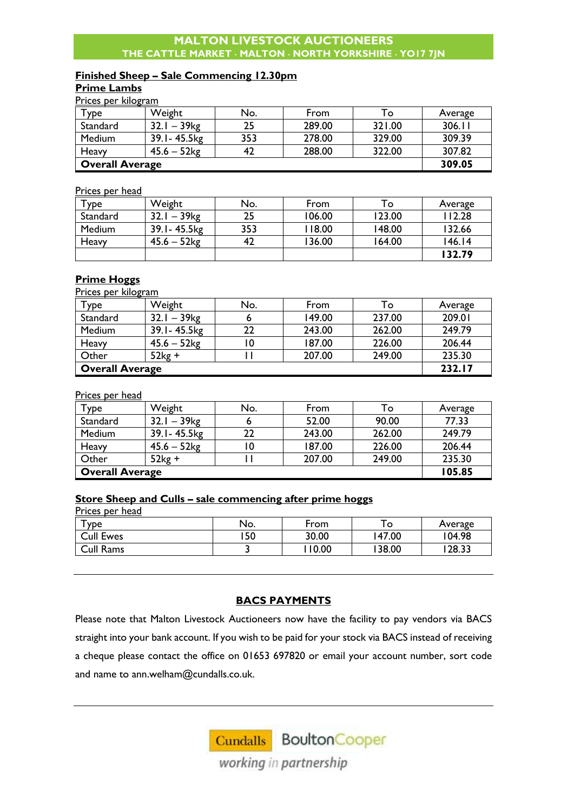## **MALTON LIVESTOCK AUCTIONEERS THE CATTLE MARKET MALTON NORTH YORKSHIRE YO17 7JN**

# **Finished Sheep – Sale Commencing 12.30pm**

## **Prime Lambs**

Prices per kilogram

| $\tau_{\texttt{ype}}$  | Weight                    | No. | From   | To     | Average |
|------------------------|---------------------------|-----|--------|--------|---------|
| Standard               | $32.1 - 39$ <sub>kg</sub> | 25  | 289.00 | 321.00 | 306.11  |
| <b>Medium</b>          | 39.1 - 45.5 kg            | 353 | 278.00 | 329.00 | 309.39  |
| Heavy                  | $45.6 - 52$ kg            |     | 288.00 | 322.00 | 307.82  |
| <b>Overall Average</b> |                           |     |        |        | 309.05  |

#### Prices per head

| $-1.1800 + 0.11000 =$ |                            |     |        |        |         |
|-----------------------|----------------------------|-----|--------|--------|---------|
| Type                  | Weight                     | No. | From   | To.    | Average |
| Standard              | – 39 <sub>kg</sub><br>32.1 | 25  | 106.00 | 123.00 | 112.28  |
| Medium                | 39.1 - 45.5 kg             | 353 | 118.00 | 148.00 | 132.66  |
| Heavy                 | $45.6 - 52$ kg             | 42  | 136.00 | 164.00 | 146.14  |
|                       |                            |     |        |        | 132.79  |

#### **Prime Hoggs**  Prices per kilogram

| <u>Prices per kliogram</u><br>Type | Weight                    | No. | From   | To     | Average |
|------------------------------------|---------------------------|-----|--------|--------|---------|
| Standard                           | $32.1 - 39$ <sub>kg</sub> |     | 149.00 | 237.00 | 209.01  |
| Medium                             | 39.1-45.5kg               | 22  | 243.00 | 262.00 | 249.79  |
| Heavy                              | $45.6 - 52kg$             |     | 187.00 | 226.00 | 206.44  |
| Other                              | $52kg +$                  |     | 207.00 | 249.00 | 235.30  |
| <b>Overall Average</b>             | 232.17                    |     |        |        |         |

#### Prices per head

| Type                   | Weight                    | No. | From   | To:    | Average |
|------------------------|---------------------------|-----|--------|--------|---------|
| Standard               | $32.1 - 39$ <sub>kg</sub> |     | 52.00  | 90.00  | 77.33   |
| Medium                 | 39.1 - 45.5 kg            | 22  | 243.00 | 262.00 | 249.79  |
| Heavy                  | $45.6 - 52$ kg            | 10  | 187.00 | 226.00 | 206.44  |
| Other                  | $52kg +$                  |     | 207.00 | 249.00 | 235.30  |
| <b>Overall Average</b> | 105.85                    |     |        |        |         |

#### **Store Sheep and Culls – sale commencing after prime hoggs**

Prices per head

| <b>YDE</b>       | No. | From  | ۰ο     | Average |
|------------------|-----|-------|--------|---------|
| <b>Cull Ewes</b> | 50  | 30.00 | 147.00 | 104.98  |
| Cull Rams        |     | 10.00 | 38.00  | 28.33   |

# **BACS PAYMENTS**

Please note that Malton Livestock Auctioneers now have the facility to pay vendors via BACS straight into your bank account. If you wish to be paid for your stock via BACS instead of receiving a cheque please contact the office on 01653 697820 or email your account number, sort code and name to [ann.welham@cundalls.co.uk.](mailto:ann.welham@cundalls.co.uk)